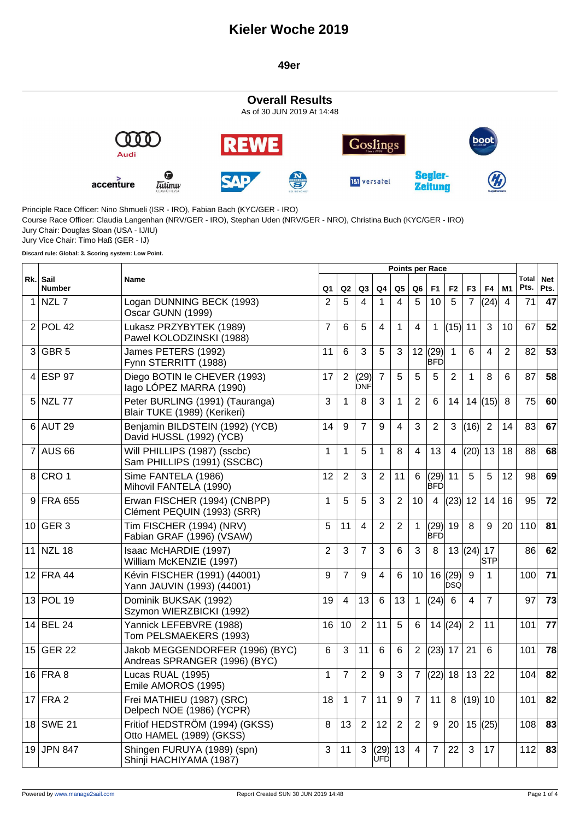#### **49er**



**Discard rule: Global: 3. Scoring system: Low Point.**

|                 | <b>Points per Race</b>       |                                                                  |                |                |                    |                |    |                 |                          |                      |                |                |                |                      |                    |
|-----------------|------------------------------|------------------------------------------------------------------|----------------|----------------|--------------------|----------------|----|-----------------|--------------------------|----------------------|----------------|----------------|----------------|----------------------|--------------------|
|                 | Rk.<br>Sail<br><b>Number</b> | Name                                                             | Q1             | Q2             | Q3                 | Q4             | Q5 | Q6              | F <sub>1</sub>           | F <sub>2</sub>       | F <sub>3</sub> | F4             | M1             | <b>Total</b><br>Pts. | <b>Net</b><br>Pts. |
| $\mathbf 1$     | NZL <sub>7</sub>             | Logan DUNNING BECK (1993)<br>Oscar GUNN (1999)                   | 2              | 5              | 4                  | 1              | 4  | 5               | 10                       | 5                    | $\overline{7}$ | (24)           | $\overline{4}$ | 71                   | 47                 |
| 2               | <b>POL 42</b>                | Lukasz PRZYBYTEK (1989)<br>Pawel KOLODZINSKI (1988)              | $\overline{7}$ | 6              | 5                  | 4              | 1  | $\overline{4}$  | $\mathbf{1}$             | (15)                 | 11             | 3              | 10             | 67                   | 52                 |
| 3               | GBR <sub>5</sub>             | James PETERS (1992)<br>Fynn STERRITT (1988)                      | 11             | 6              | 3                  | 5              | 3  |                 | 12   (29)<br>IBFD        | $\mathbf{1}$         | 6              | 4              | $\overline{2}$ | 82                   | 53                 |
| 4               | <b>ESP 97</b>                | Diego BOTIN le CHEVER (1993)<br>lago LÓPEZ MARRA (1990)          | 17             | $\overline{2}$ | (29)<br><b>DNF</b> | 7              | 5  | 5               | 5                        | 2                    | 1              | 8              | 6              | 87                   | 58                 |
|                 | $5$ NZL 77                   | Peter BURLING (1991) (Tauranga)<br>Blair TUKE (1989) (Kerikeri)  | 3              | $\mathbf{1}$   | 8                  | 3              | 1  | $\overline{2}$  | 6                        | 14                   |                | 14(15)         | 8              | 75                   | 60                 |
|                 | $6$ AUT 29                   | Benjamin BILDSTEIN (1992) (YCB)<br>David HUSSL (1992) (YCB)      | 14             | 9              | $\overline{7}$     | 9              | 4  | 3               | $\overline{2}$           | 3                    | (16)           | $\overline{2}$ | 14             | 83                   | 67                 |
| 7               | <b>AUS 66</b>                | Will PHILLIPS (1987) (sscbc)<br>Sam PHILLIPS (1991) (SSCBC)      | 1              | 1              | 5                  | 1              | 8  | 4               | 13                       | 4                    | (20)           | 13             | 18             | 88                   | 68                 |
| 8               | CRO <sub>1</sub>             | Sime FANTELA (1986)<br>Mihovil FANTELA (1990)                    | 12             | 2              | 3                  | 2              | 11 | 6               | (29)<br><b>BFD</b>       | 11                   | 5              | 5              | 12             | 98                   | 69                 |
| 9               | <b>FRA 655</b>               | Erwan FISCHER (1994) (CNBPP)<br>Clément PEQUIN (1993) (SRR)      | 1              | 5              | 5                  | 3              | 2  | 10 <sup>1</sup> | $\overline{4}$           | (23)                 | 12             | 14             | 16             | 95                   | 72                 |
| 10              | GER <sub>3</sub>             | Tim FISCHER (1994) (NRV)<br>Fabian GRAF (1996) (VSAW)            | 5              | 11             | 4                  | $\overline{2}$ | 2  | $\mathbf{1}$    | (29)<br> BFD             | 19                   | 8              | 9              | 20             | 110                  | 81                 |
| 11              | <b>NZL 18</b>                | Isaac McHARDIE (1997)<br>William McKENZIE (1997)                 | $\overline{2}$ | 3              | $\overline{7}$     | 3              | 6  | 3               | 8                        |                      | 13  (24)  17   | <b>STP</b>     |                | 86                   | 62                 |
| 12 <sub>1</sub> | <b>FRA 44</b>                | Kévin FISCHER (1991) (44001)<br>Yann JAUVIN (1993) (44001)       | 9              | $\overline{7}$ | 9                  | 4              | 6  | 10              |                          | 16(29)<br><b>DSQ</b> | 9              | $\mathbf 1$    |                | 100 <sup>1</sup>     | 71                 |
| 13              | <b>POL 19</b>                | Dominik BUKSAK (1992)<br>Szymon WIERZBICKI (1992)                | 19             | 4              | 13                 | 6              | 13 | $\mathbf{1}$    | (24)                     | $6\phantom{1}$       | 4              | $\overline{7}$ |                | 97                   | 73                 |
| 14              | <b>BEL 24</b>                | Yannick LEFEBVRE (1988)<br>Tom PELSMAEKERS (1993)                | 16             | 10             | 2                  | 11             | 5  | 6               |                          | 14(24)               | 2              | 11             |                | 101                  | 77                 |
| 15              | <b>GER 22</b>                | Jakob MEGGENDORFER (1996) (BYC)<br>Andreas SPRANGER (1996) (BYC) | 6              | 3              | 11                 | 6              | 6  | $\overline{2}$  | $\left  (23) \right $ 17 |                      | 21             | 6              |                | 101                  | 78                 |
| 16              | FRA 8                        | Lucas RUAL (1995)<br>Emile AMOROS (1995)                         | 1              | $\overline{7}$ | $\overline{2}$     | 9              | 3  | $\overline{7}$  | (22)                     | 18                   | 13             | 22             |                | 104                  | 82                 |
| 17              | FRA <sub>2</sub>             | Frei MATHIEU (1987) (SRC)<br>Delpech NOE (1986) (YCPR)           | 18             | $\mathbf{1}$   | $\overline{7}$     | 11             | 9  | $\overline{7}$  | 11                       | 8                    | $(19)$ 10      |                |                | 101                  | 82                 |
|                 | 18 SWE 21                    | Fritiof HEDSTRÖM (1994) (GKSS)<br>Otto HAMEL (1989) (GKSS)       | 8              | 13             | $\overline{2}$     | 12             | 2  | 2               | 9                        | 20                   | 15             | (25)           |                | 108                  | 83                 |
| 19              | <b>JPN 847</b>               | Shingen FURUYA (1989) (spn)<br>Shinji HACHIYAMA (1987)           | 3              | 11             | 3                  | (29)<br>UFD    | 13 | 4               | $\overline{7}$           | 22                   | 3              | 17             |                | 112                  | 83                 |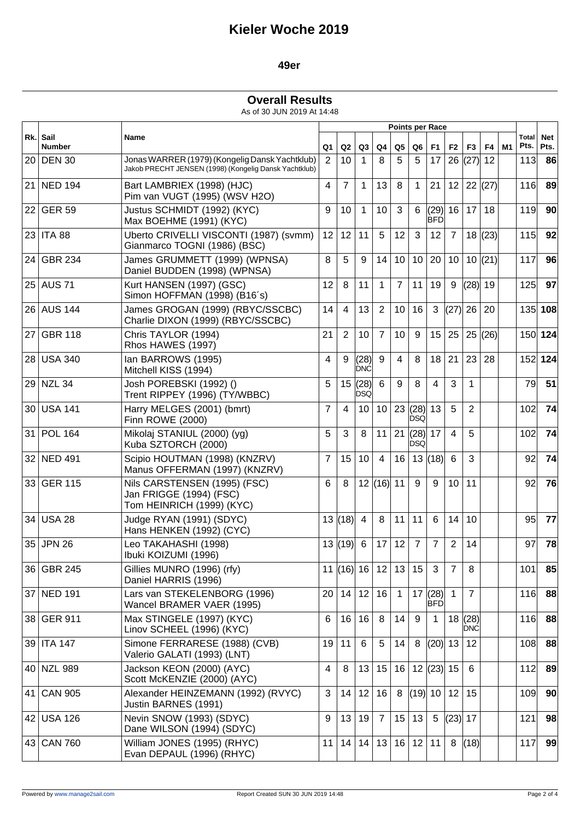### **49er**

#### **Overall Results**

As of 30 JUN 2019 At 14:48

|     |                       |                                                                                                         |                |                |                    |                |                 |                | <b>Points per Race</b> |                |                    |           |    |                      |                    |
|-----|-----------------------|---------------------------------------------------------------------------------------------------------|----------------|----------------|--------------------|----------------|-----------------|----------------|------------------------|----------------|--------------------|-----------|----|----------------------|--------------------|
| Rk. | Sail<br><b>Number</b> | Name                                                                                                    | Q1             | Q2             | Q3                 | Q4             | Q <sub>5</sub>  | Q <sub>6</sub> | F <sub>1</sub>         | F <sub>2</sub> | F <sub>3</sub>     | F4        | M1 | <b>Total</b><br>Pts. | <b>Net</b><br>Pts. |
|     | 20 DEN 30             | Jonas WARRER (1979) (Kongelig Dansk Yachtklub)<br>Jakob PRECHT JENSEN (1998) (Kongelig Dansk Yachtklub) | $\overline{2}$ | 10             | $\mathbf 1$        | 8              | 5               | 5              | 17                     | 26             | (27)               | 12        |    | 113                  | 86                 |
| 21  | <b>NED 194</b>        | Bart LAMBRIEX (1998) (HJC)<br>Pim van VUGT (1995) (WSV H2O)                                             | 4              | $\overline{7}$ | 1                  | 13             | 8               | $\mathbf{1}$   | 21                     | 12             |                    | 22   (27) |    | 116                  | 89                 |
|     | 22 GER 59             | Justus SCHMIDT (1992) (KYC)<br>Max BOEHME (1991) (KYC)                                                  | 9              | 10             | 1                  | 10             | 3               | 6              | (29)<br>IBFDI          | 16             | 17                 | 18        |    | 119                  | 90                 |
|     | 23 ITA 88             | Uberto CRIVELLI VISCONTI (1987) (svmm)<br>Gianmarco TOGNI (1986) (BSC)                                  | 12             | 12             | 11                 | 5              | 12              | 3              | 12                     | $\overline{7}$ | 18                 | (23)      |    | 115                  | 92                 |
| 24  | <b>GBR 234</b>        | James GRUMMETT (1999) (WPNSA)<br>Daniel BUDDEN (1998) (WPNSA)                                           | 8              | 5              | 9                  | 14             | 10 <sup>1</sup> | 10             | 20                     | 10             |                    | 10  (21)  |    | 117                  | 96                 |
|     | 25 AUS 71             | Kurt HANSEN (1997) (GSC)<br>Simon HOFFMAN (1998) (B16's)                                                | 12             | 8              | 11                 | 1              | $\overline{7}$  | 11             | 19                     | 9              | (28)               | 19        |    | 125                  | 97                 |
|     | 26 AUS 144            | James GROGAN (1999) (RBYC/SSCBC)<br>Charlie DIXON (1999) (RBYC/SSCBC)                                   | 14             | 4              | 13                 | 2              | 10 <sup>1</sup> | 16             | 3                      | (27)           | 26                 | 20        |    |                      | 135 108            |
| 27  | <b>GBR 118</b>        | Chris TAYLOR (1994)<br>Rhos HAWES (1997)                                                                | 21             | 2              | 10                 | $\overline{7}$ | 10 <sup>°</sup> | 9              | 15                     | 25             | 25                 | (26)      |    |                      | 150 124            |
|     | 28 USA 340            | Ian BARROWS (1995)<br>Mitchell KISS (1994)                                                              | 4              | 9              | (28)<br><b>DNC</b> | 9              | 4               | 8              | 18                     | 21             | 23                 | 28        |    |                      | 152 124            |
|     | 29 NZL 34             | Josh POREBSKI (1992) ()<br>Trent RIPPEY (1996) (TY/WBBC)                                                | 5              | 15             | (28)<br><b>DSQ</b> | 6              | 9               | 8              | 4                      | 3              | 1                  |           |    | 79                   | 51                 |
|     | 30 USA 141            | Harry MELGES (2001) (bmrt)<br>Finn ROWE (2000)                                                          | $\overline{7}$ | 4              | 10 <sup>°</sup>    | 10             |                 | 23(28)<br>IDSQ | 13                     | 5              | 2                  |           |    | 102                  | 74                 |
| 31  | <b>POL 164</b>        | Mikolaj STANIUL (2000) (yg)<br>Kuba SZTORCH (2000)                                                      | 5              | 3              | 8                  | 11             | 21              | (28)<br>IDSQ   | 17                     | $\overline{4}$ | 5                  |           |    | 102                  | 74                 |
|     | 32 NED 491            | Scipio HOUTMAN (1998) (KNZRV)<br>Manus OFFERMAN (1997) (KNZRV)                                          | $\overline{7}$ | 15             | 10 <sup>1</sup>    | $\overline{4}$ | 16              |                | 13   (18)              | 6              | 3                  |           |    | 92                   | 74                 |
|     | 33 GER 115            | Nils CARSTENSEN (1995) (FSC)<br>Jan FRIGGE (1994) (FSC)<br>Tom HEINRICH (1999) (KYC)                    | 6              | 8              |                    | 12  (16)  11   |                 | 9              | 9                      | 10             | 11                 |           |    | 92                   | 76                 |
| 34  | <b>USA 28</b>         | Judge RYAN (1991) (SDYC)<br>Hans HENKEN (1992) (CYC)                                                    | 13             | (18)           | $\overline{4}$     | 8              | 11              | 11             | 6                      | 14             | 10                 |           |    | 95                   | 77                 |
| 35  | <b>JPN 26</b>         | Leo TAKAHASHI (1998)<br>Ibuki KOIZUMI (1996)                                                            | 13             | (19)           | 6                  | 17             | 12              | $\overline{7}$ | $\overline{7}$         | $\overline{2}$ | 14                 |           |    | 97                   | 78                 |
|     | 36 GBR 245            | Gillies MUNRO (1996) (rfy)<br>Daniel HARRIS (1996)                                                      |                |                | 11  (16)   16      | 12             | 13              | 15             | 3                      | $\overline{7}$ | 8                  |           |    | 101                  | 85                 |
|     | 37 NED 191            | Lars van STEKELENBORG (1996)<br>Wancel BRAMER VAER (1995)                                               | 20             | 14             | 12                 | 16             | $\mathbf{1}$    |                | 17  (28) <br>IBFDI     | $\mathbf{1}$   | $\overline{7}$     |           |    | 116                  | 88                 |
|     | 38 GER 911            | Max STINGELE (1997) (KYC)<br>Linov SCHEEL (1996) (KYC)                                                  | 6              | 16             | 16                 | 8              | 14              | 9              | $\mathbf 1$            | 18             | (28)<br><b>DNC</b> |           |    | 116                  | 88                 |
|     | 39 ITA 147            | Simone FERRARESE (1988) (CVB)<br>Valerio GALATI (1993) (LNT)                                            | 19             | 11             | 6                  | 5              | 14              | 8              | $(20)$ 13              |                | 12                 |           |    | 108                  | 88                 |
|     | 40 NZL 989            | Jackson KEON (2000) (AYC)<br>Scott McKENZIE (2000) (AYC)                                                | 4              | 8              | 13                 | 15             | 16              |                | 12  (23)  15           |                | 6                  |           |    | 112                  | 89                 |
| 41  | <b>CAN 905</b>        | Alexander HEINZEMANN (1992) (RVYC)<br>Justin BARNES (1991)                                              | 3              | 14             | 12                 | 16             | 8               |                | (19) 10                | 12             | 15                 |           |    | 109                  | 90                 |
|     | 42 USA 126            | Nevin SNOW (1993) (SDYC)<br>Dane WILSON (1994) (SDYC)                                                   | 9              | 13             | 19                 | $\overline{7}$ | 15              | 13             | $5\phantom{.0}$        | (23)           | 17                 |           |    | 121                  | 98                 |
|     | 43 CAN 760            | William JONES (1995) (RHYC)<br>Evan DEPAUL (1996) (RHYC)                                                | 11             | 14             | 14                 | 13             |                 | 16 12          | 11                     | 8              | (18)               |           |    | 117                  | 99                 |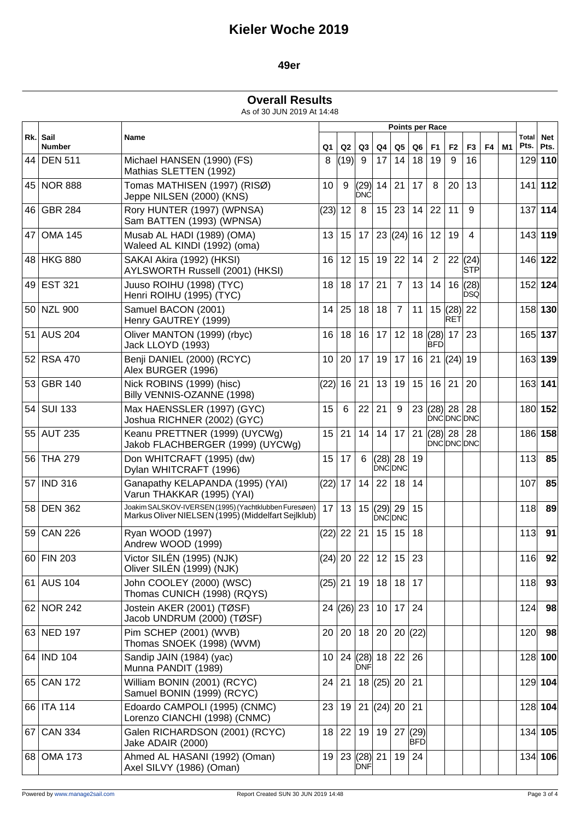### **49er**

### **Overall Results**

As of 30 JUN 2019 At 14:48

|     |                       |                                                                                                             |                 |       |                            |      |                        |            | <b>Points per Race</b>     |                |                    |    |    |               |                    |
|-----|-----------------------|-------------------------------------------------------------------------------------------------------------|-----------------|-------|----------------------------|------|------------------------|------------|----------------------------|----------------|--------------------|----|----|---------------|--------------------|
| Rk. | Sail<br><b>Number</b> | Name                                                                                                        | Q1              | Q2    | Q3                         | Q4   | Q5                     | Q6         | F1                         | F <sub>2</sub> | F <sub>3</sub>     | F4 | M1 | Total<br>Pts. | <b>Net</b><br>Pts. |
|     | 44 DEN 511            | Michael HANSEN (1990) (FS)<br>Mathias SLETTEN (1992)                                                        | 8               | (19)  | -9                         | 17   | 14                     | 18         | 19                         | 9              | 16                 |    |    |               | 129 110            |
|     | 45 NOR 888            | Tomas MATHISEN (1997) (RISØ)<br>Jeppe NILSEN (2000) (KNS)                                                   | 10              | 9     | (29)<br><b>DNC</b>         | 14   | 21                     | 17         | 8                          | 20             | 13                 |    |    |               | $141$ 112          |
| 46  | <b>GBR 284</b>        | Rory HUNTER (1997) (WPNSA)<br>Sam BATTEN (1993) (WPNSA)                                                     | (23)            | 12    | 8                          | 15   | 23                     | 14         | 22                         | 11             | 9                  |    |    |               | 137 114            |
| 47  | <b>OMA 145</b>        | Musab AL HADI (1989) (OMA)<br>Waleed AL KINDI (1992) (oma)                                                  | 13              | 15    | 17                         |      | 23  (24)  16           |            | 12                         | 19             | 4                  |    |    |               | 143 119            |
|     | 48 HKG 880            | SAKAI Akira (1992) (HKSI)<br>AYLSWORTH Russell (2001) (HKSI)                                                | 16              | 12    | 15                         | 19   | 22                     | 14         | $\overline{2}$             | 22             | (24)<br><b>STP</b> |    |    |               | 146 122            |
|     | 49 EST 321            | Juuso ROIHU (1998) (TYC)<br>Henri ROIHU (1995) (TYC)                                                        | 18              | 18    | 17                         | 21   | $\overline{7}$         | 13         | 14                         | 16             | (28)<br><b>DSQ</b> |    |    |               | 152 124            |
|     | 50 NZL 900            | Samuel BACON (2001)<br>Henry GAUTREY (1999)                                                                 | 14              | 25    | 18                         | 18   | $\overline{7}$         | 11         |                            | 15(28)<br>RET  | 22                 |    |    |               | 158 130            |
| 51  | <b>AUS 204</b>        | Oliver MANTON (1999) (rbyc)<br>Jack LLOYD (1993)                                                            | 16              | 18    | 16                         | 17   | 12                     |            | 18  (28)  17<br><b>BFD</b> |                | 23                 |    |    |               | 165 137            |
|     | 52 RSA 470            | Benji DANIEL (2000) (RCYC)<br>Alex BURGER (1996)                                                            | 10              | 20    | 17                         | 19   | 17                     | 16         |                            | 21   (24)      | 19                 |    |    |               | 163 139            |
|     | 53 GBR 140            | Nick ROBINS (1999) (hisc)<br>Billy VENNIS-OZANNE (1998)                                                     | (22)            | 16    | 21                         | 13   | 19 <sup>1</sup>        | 15         | 16                         | 21             | 20                 |    |    |               | 163 141            |
|     | 54 SUI 133            | Max HAENSSLER (1997) (GYC)<br>Joshua RICHNER (2002) (GYC)                                                   | 15              | 6     | 22                         | 21   | 9                      | 23         | $(28)$ 28<br>DNC DNC DNC   |                | 28                 |    |    |               | 180 152            |
|     | 55 AUT 235            | Keanu PRETTNER (1999) (UYCWg)<br>Jakob FLACHBERGER (1999) (UYCWg)                                           | 15              | 21    | 14                         | 14   | 17 <sup>1</sup>        | 21         | (28) 28                    |                | 28<br>DNCDNCDNC    |    |    |               | 186 158            |
| 56  | <b>THA 279</b>        | Don WHITCRAFT (1995) (dw)<br>Dylan WHITCRAFT (1996)                                                         | 15              | 17    | 6                          | (28) | 28<br><b>DNCDNC</b>    | 19         |                            |                |                    |    |    | 113           | 85                 |
|     | 57 IND 316            | Ganapathy KELAPANDA (1995) (YAI)<br>Varun THAKKAR (1995) (YAI)                                              | (22)            | 17    | 14                         | 22   | 18                     | 14         |                            |                |                    |    |    | 107           | 85                 |
|     | 58 DEN 362            | Joakim SALSKOV-IVERSEN (1995) (Yachtklubben Furesøen)<br>Markus Oliver NIELSEN (1995) (Middelfart Sejlklub) | 17              | 13    |                            |      | 15  (29)  29<br>DNCDNC | 15         |                            |                |                    |    |    | 118           | 89                 |
| 59  | $CAN$ 226             | Ryan WOOD (1997)<br>Andrew WOOD (1999)                                                                      | (22)            | 22    | 21                         | 15   | 15                     | 18         |                            |                |                    |    |    | 113           | 91                 |
|     | 60 FIN 203            | Victor SILÉN (1995) (NJK)<br>Oliver SILÉN (1999) (NJK)                                                      |                 |       | (24) 20 22 12 15 23        |      |                        |            |                            |                |                    |    |    | 116           | 92                 |
|     | 61 AUS 104            | John COOLEY (2000) (WSC)<br>Thomas CUNICH (1998) (RQYS)                                                     | (25) 21         |       | 19                         | 18   | 18 17                  |            |                            |                |                    |    |    | 118           | 93                 |
|     | 62 NOR 242            | Jostein AKER (2001) (TØSF)<br>Jacob UNDRUM (2000) (TØSF)                                                    |                 |       | 24 (26) 23                 | 10   | 17 24                  |            |                            |                |                    |    |    | 124           | 98                 |
|     | 63 NED 197            | Pim SCHEP (2001) (WVB)<br>Thomas SNOEK (1998) (WVM)                                                         | 20 <sub>1</sub> |       | 20 18 20                   |      |                        | 20(22)     |                            |                |                    |    |    | 120           | 98                 |
|     | 64 IND 104            | Sandip JAIN (1984) (yac)<br>Munna PANDIT (1989)                                                             | 10 <sup>1</sup> |       | 24 $(28)$ 18<br><b>DNF</b> |      | 22 26                  |            |                            |                |                    |    |    |               | 128 100            |
|     | 65 CAN 172            | William BONIN (2001) (RCYC)<br>Samuel BONIN (1999) (RCYC)                                                   |                 | 24 21 |                            |      | 18  (25)  20   21      |            |                            |                |                    |    |    |               | 129 104            |
|     | 66   ITA 114          | Edoardo CAMPOLI (1995) (CNMC)<br>Lorenzo CIANCHI (1998) (CNMC)                                              | 23              | 19    |                            |      | 21  (24)  20   21      |            |                            |                |                    |    |    |               | 128 104            |
|     | 67 CAN 334            | Galen RICHARDSON (2001) (RCYC)<br>Jake ADAIR (2000)                                                         | 18              | 22    | 19                         |      | 19   27   (29)         | <b>BFD</b> |                            |                |                    |    |    |               | 134 105            |
|     | 68 OMA 173            | Ahmed AL HASANI (1992) (Oman)<br>Axel SILVY (1986) (Oman)                                                   | 19              |       | 23  (28)  21<br><b>DNF</b> |      | 19 24                  |            |                            |                |                    |    |    |               | 134 106            |